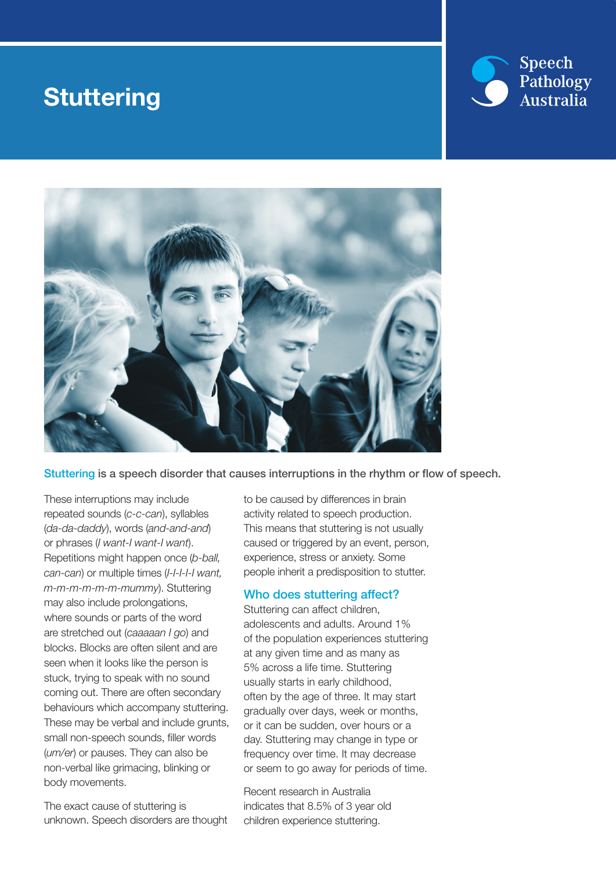## **Stuttering**





Stuttering is a speech disorder that causes interruptions in the rhythm or flow of speech.

These interruptions may include repeated sounds (*c-c-can*), syllables (*da-da-daddy*), words (*and-and-and*) or phrases (*I want-I want-I want*). Repetitions might happen once (*b-ball, can-can*) or multiple times (*I-I-I-I-I want, m-m-m-m-m-m-mummy*). Stuttering may also include prolongations, where sounds or parts of the word are stretched out (*caaaaan I go*) and blocks. Blocks are often silent and are seen when it looks like the person is stuck, trying to speak with no sound coming out. There are often secondary behaviours which accompany stuttering. These may be verbal and include grunts, small non-speech sounds, filler words (*um/er*) or pauses. They can also be non-verbal like grimacing, blinking or body movements.

The exact cause of stuttering is unknown. Speech disorders are thought to be caused by differences in brain activity related to speech production. This means that stuttering is not usually caused or triggered by an event, person, experience, stress or anxiety. Some people inherit a predisposition to stutter.

#### Who does stuttering affect?

Stuttering can affect children, adolescents and adults. Around 1% of the population experiences stuttering at any given time and as many as 5% across a life time. Stuttering usually starts in early childhood, often by the age of three. It may start gradually over days, week or months, or it can be sudden, over hours or a day. Stuttering may change in type or frequency over time. It may decrease or seem to go away for periods of time.

Recent research in Australia indicates that 8.5% of 3 year old children experience stuttering.